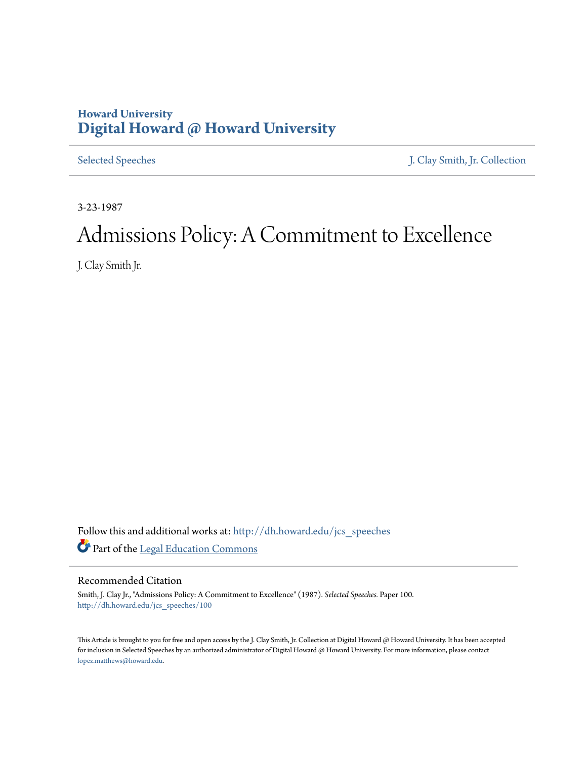## **Howard University [Digital Howard @ Howard University](http://dh.howard.edu?utm_source=dh.howard.edu%2Fjcs_speeches%2F100&utm_medium=PDF&utm_campaign=PDFCoverPages)**

[Selected Speeches](http://dh.howard.edu/jcs_speeches?utm_source=dh.howard.edu%2Fjcs_speeches%2F100&utm_medium=PDF&utm_campaign=PDFCoverPages) [J. Clay Smith, Jr. Collection](http://dh.howard.edu/jcsmith?utm_source=dh.howard.edu%2Fjcs_speeches%2F100&utm_medium=PDF&utm_campaign=PDFCoverPages)

3-23-1987

# Admissions Policy: A Commitment to Excellence

J. Clay Smith Jr.

Follow this and additional works at: [http://dh.howard.edu/jcs\\_speeches](http://dh.howard.edu/jcs_speeches?utm_source=dh.howard.edu%2Fjcs_speeches%2F100&utm_medium=PDF&utm_campaign=PDFCoverPages) Part of the [Legal Education Commons](http://network.bepress.com/hgg/discipline/857?utm_source=dh.howard.edu%2Fjcs_speeches%2F100&utm_medium=PDF&utm_campaign=PDFCoverPages)

Recommended Citation

Smith, J. Clay Jr., "Admissions Policy: A Commitment to Excellence" (1987). *Selected Speeches.* Paper 100. [http://dh.howard.edu/jcs\\_speeches/100](http://dh.howard.edu/jcs_speeches/100?utm_source=dh.howard.edu%2Fjcs_speeches%2F100&utm_medium=PDF&utm_campaign=PDFCoverPages)

This Article is brought to you for free and open access by the J. Clay Smith, Jr. Collection at Digital Howard @ Howard University. It has been accepted for inclusion in Selected Speeches by an authorized administrator of Digital Howard @ Howard University. For more information, please contact [lopez.matthews@howard.edu.](mailto:lopez.matthews@howard.edu)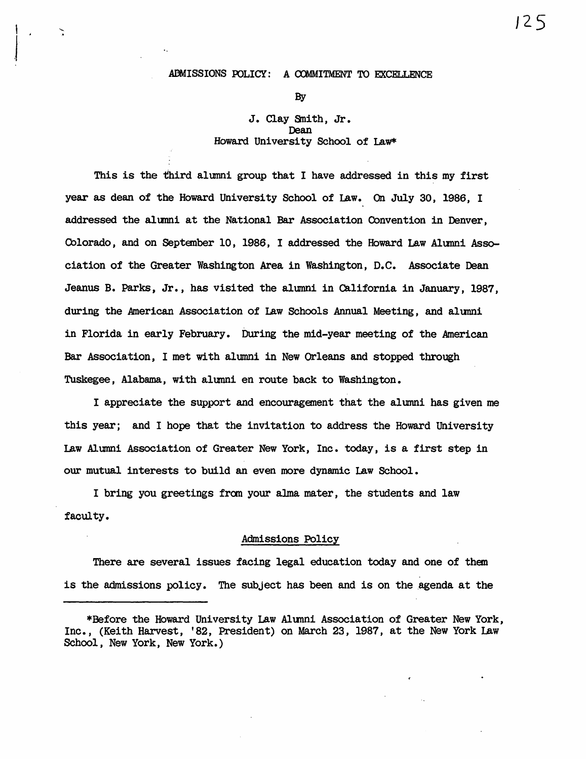#### ADMISSIONS POLICY: A COMMITMENT TO EXCELLENCE

 $\overline{\phantom{a}}$ 

.I

By

### J. Clay Snith, Jr. Dean Howard University School of Law\*

This is the third alumni group that I have addressed in this my first year as dean of the Howard University School of Law. On July 30, 1986, I addressed the alumni at the National Bar Association Convention in Denver, Colorado, and on September 10, 1986, I addressed the Howard Law Alumni Association of the Greater Washington Area in Washington, D.C. Associate Dean Jeanus B. Parks, Jr., has visited the alumni in California in January, 1987, during the American Association of Law Schools Annual Meeting, and alumni in Florida in early February. During the mid-year meeting of the American Bar AsSOCiation, I met with alumni in New Orleans and stopped through Tuskegee, Alabama, with alumni en route back to Washington.

I appreciate the support and encouragement that the alumni has given me this year; and I hope that the invitation to address the Howard University Law Al umni Association of Greater New York, Inc. today, is a first step in our mutual interests to build an even more dynamic Law School.

I bring you greetings fran your alma. mater, the students and law faculty.

#### Admissions Policy

There are several issues facing legal education today and one of them is the admissions policy. The subject has been and is on the agenda at the J 2 5

<sup>\*</sup>Before the Howard University Law Alumni Association of Greater New York, Inc., (Keith Harvest, '82, PreSident) on March 23, 1987, at the New York Law School, New York, New York.)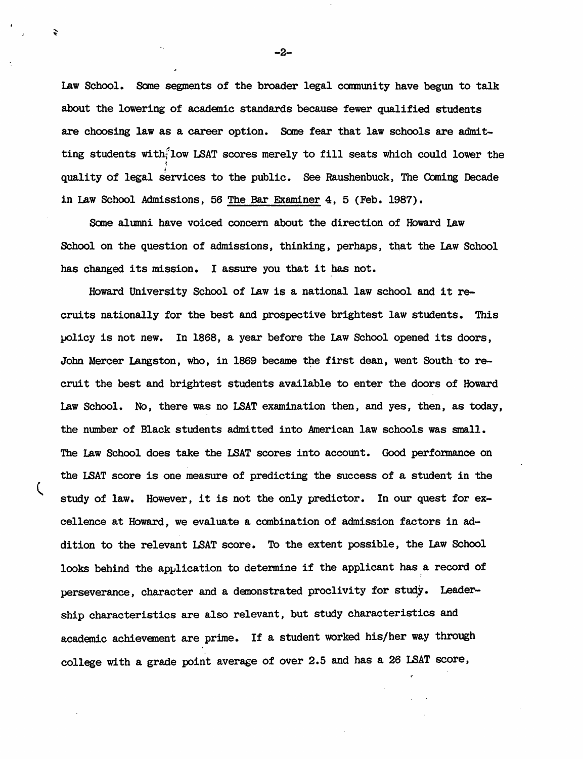Law School. Some segments of the broader legal community have begun to talk about the lowering of academic standards because fewer qualified students are choosing law as a career option. Some fear that law schools are admitting students with-low LSAT scores merely to fill seats which could lower the  $\ddot{\phantom{a}}$ quality of legal services to the public. See Raushenbuck, The Coming Decade in Law School Admissions, 56 The Bar Examiner 4, 5 (Feb. 1987).

Same alumni have voiced concern about the direction of Howard Law School on the question of admissions, thinking, perhaps, that the law School has changed its mission. I assure you that it has not.

Howard University School of Law is a national law school and it recruits nationally for the best and prospective brightest law students. This policy is not new. In 1868, a year before the Law School opened its doors, John Mercer Langston, who, in 1869 became the first dean, went South to recruit the best and brightest students available to enter the doors of Howard Law School. No, there was no LSAT examination then, and yes, then, as today, the number of Black students admitted into American law schools was small. The Law School does take the LSAT scores into account. Good performance on the LSAT score is one measure of predicting the success of a student in the study of law. However, it is not the only predictor. In our quest for excellence at Howard, we evaluate a combination of admission factors in acldition to the relevant LSAT score. To the extent possible, the Law School looks behind the application to determine if the applicant has a record of perseverance, character and a demonstrated proclivity for study. Leader-Ship characteristics are also relevant, but study characteristics and academic achievement are prime. If a student worked his/her way through college with a grade point average of over 2.5 and has a 26 LSAT score,

-2-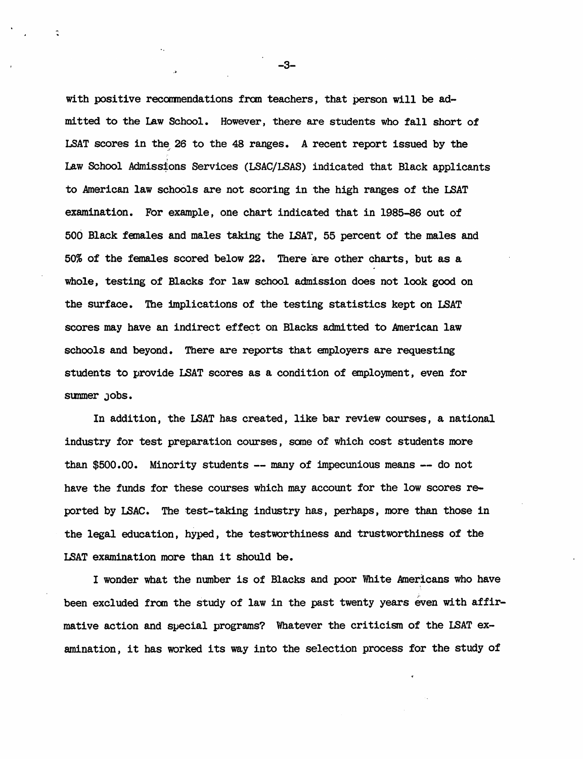with positive recommendations from teachers, that person will be admitted to the Law School. However, there are students who fall short of LSAT scores in the 26 to the 48 ranges. A recent report issued by the Law School Admissions Services (LSAC/LSAS) indicated that Black applicants to American law schoOls are not scoring in the high ranges of the LSAT examination. For example, one chart indicated that in 1985-86 out of 506 Black fanales and males taking the I.8AT, 55 percent of the males and 50% of the females scored below 22. There are other charts, but as a whole, testing of Blacks for law school admission does not look good on the surface. The implications of the testing statistics kept on LSAT scores may have an indirect effect on Blacks admitted to American law schools and beyond. There are reports that employers are requesting students to provide LSAT scores as a condition of employment, even for sunmer Jobs.

In addition, the LSAT has created, like bar review courses, a national industry for test preparation courses, same of which cost students more than  $$500.00$ . Minority students -- many of impecunious means -- do not have the funds for these courses which may account for the low scores reported by LSAC. The test-taking industry has, perhaps, more than those in the legal education, hyped, the testworthiness and trustworthiness of the L9AT examination more than it should be.

I wonder what the number is of Blacks and poor White Americans who have been excluded from the study of law in the past twenty years even with affirmative action and special programs? Whatever the criticism of the LSAT examination, it has worked its way into the selection process for the study of

-3-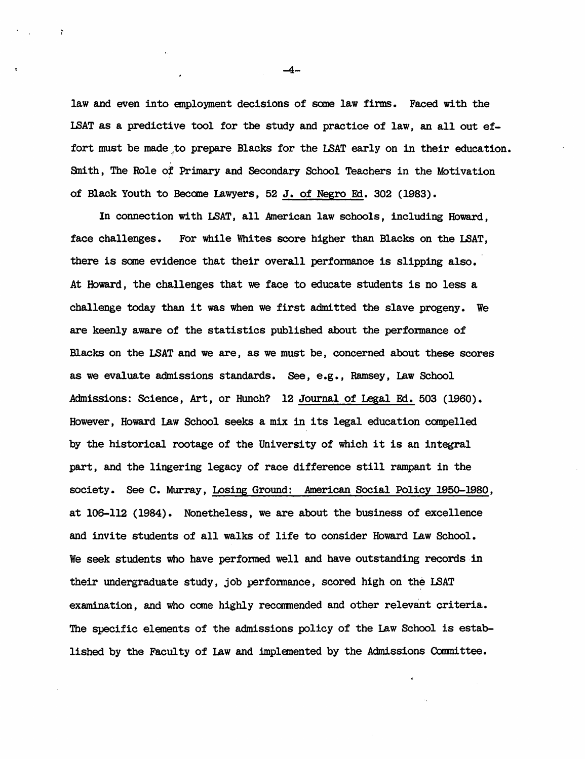law and even into employment decisions of some law firms. Faced with the LSAT as a predictive tool for the study and practice of law, an all out effort must be made to prepare Blacks for the LSAT early on in their education. Sn1 th, The Role *ot* Primary and Secondary School Teachers in the Motivation of Black Youth to Become Lawyers, 52 J. of Negro Ed. 302 (1983).

In connection with LSAT, all American law schools, including Howard, face challenges. For while Whites score higher than Blacks on the LSAT, there is some evidence that their overall performance is slipping also. At Howard, the challenges that we face to educate students is no less a challenge today than it was when we first admitted the slave progeny. We are keenly aware of the statistics published about the performance of Blacks on the LSAT and we are, as we must be, concerned about these scores as we evaluate admissions standards. See, e.g., Ramsey, law School Admissions: Science, Art, or Hunch? 12 Journal of Legal Fd. 503 (1960). However, Howard lAw School seeks a mix in its legal education canpe1led by the historical rootage of the University of which it is an integral part, and the lingering legacy of race difference still rampant in the society. See C. Murray, Losing Ground: American Social Policy 1950-l980, at 106-112 (1984). Nonetheless, we are about the business of excellence and invite students of all walks of life to consider Howard Law School. We seek students who have performed well and have outstanding records in their undergraduate study, job performance, scored high on the LSAT examination, and who come highly recommended and other relevant criteria. The specific elements of the admissions policy of the Law School is established by the Faculty of Law and implemented by the Admissions Committee.

-4-

 $\ddot{\phantom{0}}$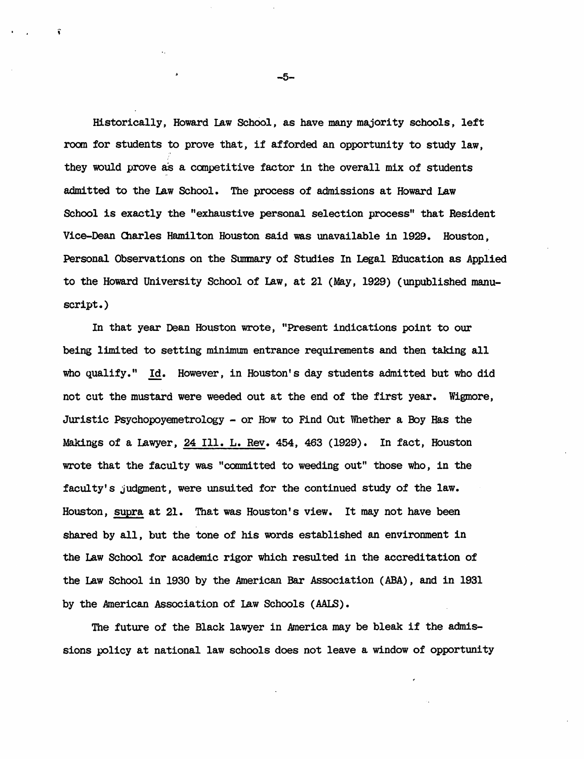Historically, Howard law School, as have many majority schools, left room for students to prove that, if afforded an opportunity to study law, they would prove as a competitive factor in the overall mix of students aclmi tted to the Law School. The process of admissions at Howard Law School is exactly the "exhaustive personal selection process" that Resident Vice-Dean Olarles Hamil ton Houston said was unavailable in 1929. Houston, Personal Observations on the Stmmaryof Studies In legal Fducation as Applied to the Howard University School of Law, at 21 (May, 1929) (unpublished manuscript.)

In that year Dean Houston wrote, "Present indications point to our being limited to setting minimum entrance requirements and then taking all who qualify." Id. However, in Houston's day students admitted but who did not cut the mustard were weeded out at the end of the first year. Wigmore, Juristic Psychopoyemetrology - or How to Find Out 'Yhether a Boy Has the Makings of a Lawyer, 24 Ill. L. Rev. 454, 463 (1929). In fact, Houston wrote that the faculty was "connnitted to weeding out" those who, in the faculty's judgment, were unsuited for the continued study of the law. Houston, supra at 21. That was Houston's view. It may not have been shared by all, but the tone of his words established an environment in the Law School for academic rigor which resulted in the accreditation of the Law School in 1930 by the American Bar Association (ABA), and in 1931 by the American Association of law Schools *(AAI.B).* 

The future of the Black lawyer in America may be bleak if the admissions policy at national law schools does not leave a window of opportunity

-5-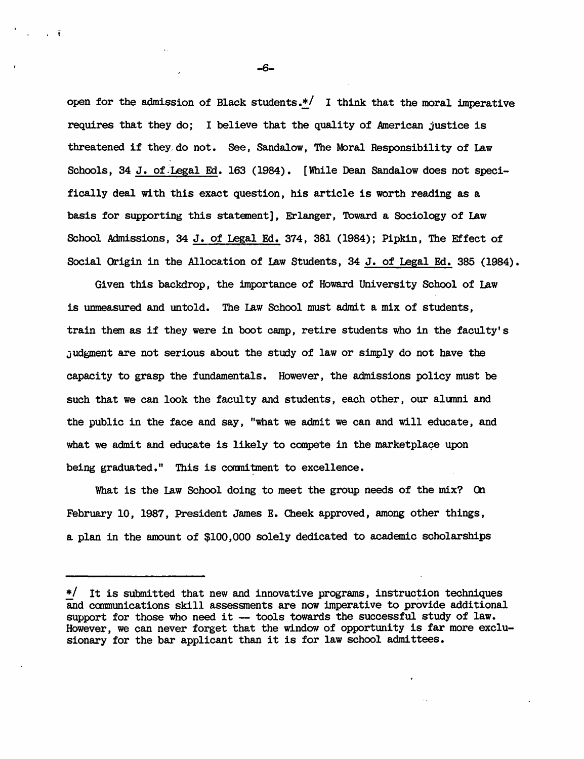open for the admission of Black students.\*/ I think that the moral imperative requires that they do; I believe that the quality of American justice is threatened if they do not. See, Sandalow, The Moral Responsibility of Law Schools, 34 J. of Legal Ed. 163 (1984). [While Dean Sandalow does not specifically deal with this exact question, his article is worth reading as a basis for supporting this statanent], Erlanger, Toward a Sociology of Law School Admissions, 34 J. of Legal Ed. 374, 381 (1984); Pipkin, The Effect of Social Origin in the Allocation of Law Students, 34 J. of Legal Ed. 385 (1984).

Given this backdrop, the importance of Howard University School of Law is unmeasured and untold. The Law School must admit a mix of students. train them as if they were in boot camp, retire students who in the faculty's Judgment are not serious about the study of law or simply do not have the capaci ty to grasp the fundamentals. However, the admissions policy must be such that we can look the faculty and students, each other, our alumni and the public in the face and say, "what we admit we can and will educate, and what we admit and educate is likely to compete in the marketplace upon being graduated." This is commitment to excellence.

What is the law School doing to meet the group needs of the mix? On February 10, 1987, President James E. Cheek approved, among other things, a plan in the amount of \$100,000 solely dedicated to academic scholarships

-6-

 $\cdot$  t

<sup>\*/</sup> It is submitted that new and innovative programs, instruction techniques and communications skill assessments are now imperative to provide additional support for those who need it -- tools towards the successful study of law. However, we can never forget that the window of opportunity is far more exclusionary for the bar applicant than it is for law school admittees.